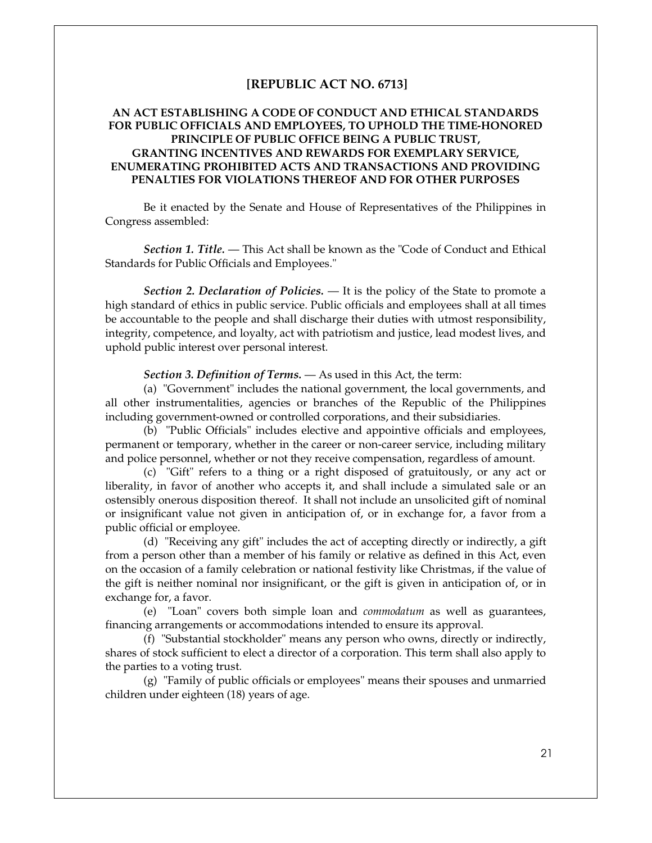## **[REPUBLIC ACT NO. 6713]**

## **AN ACT ESTABLISHING A CODE OF CONDUCT AND ETHICAL STANDARDS FOR PUBLIC OFFICIALS AND EMPLOYEES, TO UPHOLD THE TIME-HONORED PRINCIPLE OF PUBLIC OFFICE BEING A PUBLIC TRUST, GRANTING INCENTIVES AND REWARDS FOR EXEMPLARY SERVICE, ENUMERATING PROHIBITED ACTS AND TRANSACTIONS AND PROVIDING PENALTIES FOR VIOLATIONS THEREOF AND FOR OTHER PURPOSES**

Be it enacted by the Senate and House of Representatives of the Philippines in Congress assembled:

*Section 1. Title.* — This Act shall be known as the "Code of Conduct and Ethical Standards for Public Officials and Employees."

*Section 2. Declaration of Policies.* — It is the policy of the State to promote a high standard of ethics in public service. Public officials and employees shall at all times be accountable to the people and shall discharge their duties with utmost responsibility, integrity, competence, and loyalty, act with patriotism and justice, lead modest lives, and uphold public interest over personal interest.

*Section 3. Definition of Terms.* — As used in this Act, the term:

 (a) "Government" includes the national government, the local governments, and all other instrumentalities, agencies or branches of the Republic of the Philippines including government-owned or controlled corporations, and their subsidiaries.

 (b) "Public Officials" includes elective and appointive officials and employees, permanent or temporary, whether in the career or non-career service, including military and police personnel, whether or not they receive compensation, regardless of amount.

 (c) "Gift" refers to a thing or a right disposed of gratuitously, or any act or liberality, in favor of another who accepts it, and shall include a simulated sale or an ostensibly onerous disposition thereof. It shall not include an unsolicited gift of nominal or insignificant value not given in anticipation of, or in exchange for, a favor from a public official or employee.

 (d) "Receiving any gift" includes the act of accepting directly or indirectly, a gift from a person other than a member of his family or relative as defined in this Act, even on the occasion of a family celebration or national festivity like Christmas, if the value of the gift is neither nominal nor insignificant, or the gift is given in anticipation of, or in exchange for, a favor.

 (e) "Loan" covers both simple loan and *commodatum* as well as guarantees, financing arrangements or accommodations intended to ensure its approval.

 (f) "Substantial stockholder" means any person who owns, directly or indirectly, shares of stock sufficient to elect a director of a corporation. This term shall also apply to the parties to a voting trust.

 (g) "Family of public officials or employees" means their spouses and unmarried children under eighteen (18) years of age.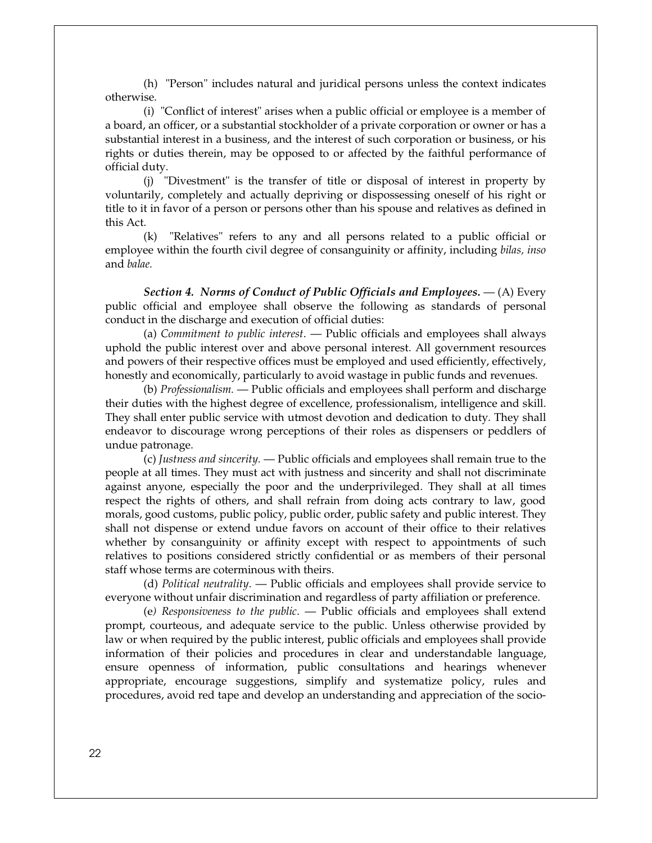(h) "Person" includes natural and juridical persons unless the context indicates otherwise.

 (i) "Conflict of interest" arises when a public official or employee is a member of a board, an officer, or a substantial stockholder of a private corporation or owner or has a substantial interest in a business, and the interest of such corporation or business, or his rights or duties therein, may be opposed to or affected by the faithful performance of official duty.

 (j) "Divestment" is the transfer of title or disposal of interest in property by voluntarily, completely and actually depriving or dispossessing oneself of his right or title to it in favor of a person or persons other than his spouse and relatives as defined in this Act.

 (k) "Relatives" refers to any and all persons related to a public official or employee within the fourth civil degree of consanguinity or affinity, including *bilas, inso* and *balae.*

*Section 4. Norms of Conduct of Public Officials and Employees.* — (A) Every public official and employee shall observe the following as standards of personal conduct in the discharge and execution of official duties:

 (a) *Commitment to public interest*. — Public officials and employees shall always uphold the public interest over and above personal interest. All government resources and powers of their respective offices must be employed and used efficiently, effectively, honestly and economically, particularly to avoid wastage in public funds and revenues.

 (b) *Professionalism.* — Public officials and employees shall perform and discharge their duties with the highest degree of excellence, professionalism, intelligence and skill. They shall enter public service with utmost devotion and dedication to duty. They shall endeavor to discourage wrong perceptions of their roles as dispensers or peddlers of undue patronage.

 (c) *Justness and sincerity.* — Public officials and employees shall remain true to the people at all times. They must act with justness and sincerity and shall not discriminate against anyone, especially the poor and the underprivileged. They shall at all times respect the rights of others, and shall refrain from doing acts contrary to law, good morals, good customs, public policy, public order, public safety and public interest. They shall not dispense or extend undue favors on account of their office to their relatives whether by consanguinity or affinity except with respect to appointments of such relatives to positions considered strictly confidential or as members of their personal staff whose terms are coterminous with theirs.

 (d) *Political neutrality*. — Public officials and employees shall provide service to everyone without unfair discrimination and regardless of party affiliation or preference.

 (e*) Responsiveness to the public*. — Public officials and employees shall extend prompt, courteous, and adequate service to the public. Unless otherwise provided by law or when required by the public interest, public officials and employees shall provide information of their policies and procedures in clear and understandable language, ensure openness of information, public consultations and hearings whenever appropriate, encourage suggestions, simplify and systematize policy, rules and procedures, avoid red tape and develop an understanding and appreciation of the socio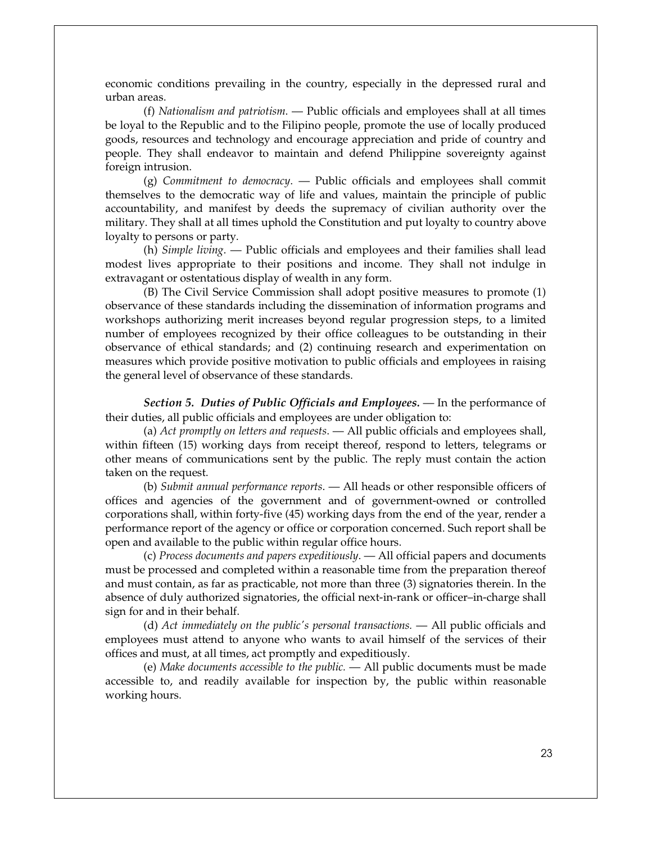economic conditions prevailing in the country, especially in the depressed rural and urban areas.

 (f) *Nationalism and patriotism*. — Public officials and employees shall at all times be loyal to the Republic and to the Filipino people, promote the use of locally produced goods, resources and technology and encourage appreciation and pride of country and people. They shall endeavor to maintain and defend Philippine sovereignty against foreign intrusion.

 (g) *Commitment to democracy*. — Public officials and employees shall commit themselves to the democratic way of life and values, maintain the principle of public accountability, and manifest by deeds the supremacy of civilian authority over the military. They shall at all times uphold the Constitution and put loyalty to country above loyalty to persons or party.

 (h) *Simple living*. — Public officials and employees and their families shall lead modest lives appropriate to their positions and income. They shall not indulge in extravagant or ostentatious display of wealth in any form.

 (B) The Civil Service Commission shall adopt positive measures to promote (1) observance of these standards including the dissemination of information programs and workshops authorizing merit increases beyond regular progression steps, to a limited number of employees recognized by their office colleagues to be outstanding in their observance of ethical standards; and (2) continuing research and experimentation on measures which provide positive motivation to public officials and employees in raising the general level of observance of these standards.

*Section 5. Duties of Public Officials and Employees.* — In the performance of their duties, all public officials and employees are under obligation to:

 (a) *Act promptly on letters and requests*. — All public officials and employees shall, within fifteen (15) working days from receipt thereof, respond to letters, telegrams or other means of communications sent by the public. The reply must contain the action taken on the request.

 (b) *Submit annual performance reports*. — All heads or other responsible officers of offices and agencies of the government and of government-owned or controlled corporations shall, within forty-five (45) working days from the end of the year, render a performance report of the agency or office or corporation concerned. Such report shall be open and available to the public within regular office hours.

 (c) *Process documents and papers expeditiously*. — All official papers and documents must be processed and completed within a reasonable time from the preparation thereof and must contain, as far as practicable, not more than three (3) signatories therein. In the absence of duly authorized signatories, the official next-in-rank or officer–in-charge shall sign for and in their behalf.

 (d) *Act immediately on the public's personal transactions.* — All public officials and employees must attend to anyone who wants to avail himself of the services of their offices and must, at all times, act promptly and expeditiously.

 (e) *Make documents accessible to the public.* — All public documents must be made accessible to, and readily available for inspection by, the public within reasonable working hours.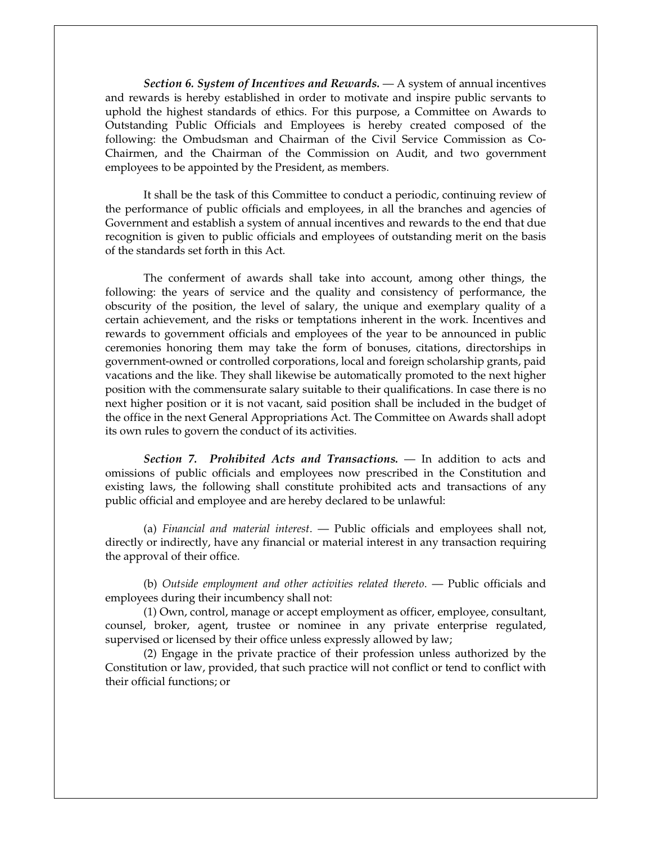*Section 6. System of Incentives and Rewards.* — A system of annual incentives and rewards is hereby established in order to motivate and inspire public servants to uphold the highest standards of ethics. For this purpose, a Committee on Awards to Outstanding Public Officials and Employees is hereby created composed of the following: the Ombudsman and Chairman of the Civil Service Commission as Co-Chairmen, and the Chairman of the Commission on Audit, and two government employees to be appointed by the President, as members.

 It shall be the task of this Committee to conduct a periodic, continuing review of the performance of public officials and employees, in all the branches and agencies of Government and establish a system of annual incentives and rewards to the end that due recognition is given to public officials and employees of outstanding merit on the basis of the standards set forth in this Act.

 The conferment of awards shall take into account, among other things, the following: the years of service and the quality and consistency of performance, the obscurity of the position, the level of salary, the unique and exemplary quality of a certain achievement, and the risks or temptations inherent in the work. Incentives and rewards to government officials and employees of the year to be announced in public ceremonies honoring them may take the form of bonuses, citations, directorships in government-owned or controlled corporations, local and foreign scholarship grants, paid vacations and the like. They shall likewise be automatically promoted to the next higher position with the commensurate salary suitable to their qualifications. In case there is no next higher position or it is not vacant, said position shall be included in the budget of the office in the next General Appropriations Act. The Committee on Awards shall adopt its own rules to govern the conduct of its activities.

*Section 7. Prohibited Acts and Transactions.* — In addition to acts and omissions of public officials and employees now prescribed in the Constitution and existing laws, the following shall constitute prohibited acts and transactions of any public official and employee and are hereby declared to be unlawful:

 (a) *Financial and material interest*. — Public officials and employees shall not, directly or indirectly, have any financial or material interest in any transaction requiring the approval of their office.

 (b) *Outside employment and other activities related thereto*. — Public officials and employees during their incumbency shall not:

 (1) Own, control, manage or accept employment as officer, employee, consultant, counsel, broker, agent, trustee or nominee in any private enterprise regulated, supervised or licensed by their office unless expressly allowed by law;

 (2) Engage in the private practice of their profession unless authorized by the Constitution or law, provided, that such practice will not conflict or tend to conflict with their official functions; or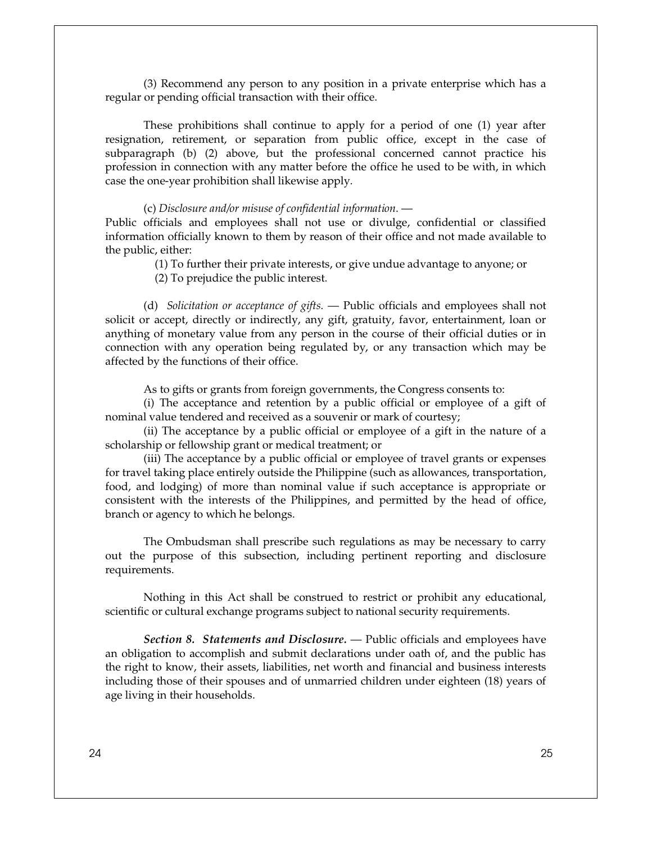(3) Recommend any person to any position in a private enterprise which has a regular or pending official transaction with their office.

 These prohibitions shall continue to apply for a period of one (1) year after resignation, retirement, or separation from public office, except in the case of subparagraph (b) (2) above, but the professional concerned cannot practice his profession in connection with any matter before the office he used to be with, in which case the one-year prohibition shall likewise apply.

## (c) *Disclosure and/or misuse of confidential information*. —

Public officials and employees shall not use or divulge, confidential or classified information officially known to them by reason of their office and not made available to the public, either:

(1) To further their private interests, or give undue advantage to anyone; or

(2) To prejudice the public interest.

(d) *Solicitation or acceptance of gifts.* — Public officials and employees shall not solicit or accept, directly or indirectly, any gift, gratuity, favor, entertainment, loan or anything of monetary value from any person in the course of their official duties or in connection with any operation being regulated by, or any transaction which may be affected by the functions of their office.

As to gifts or grants from foreign governments, the Congress consents to:

 (i) The acceptance and retention by a public official or employee of a gift of nominal value tendered and received as a souvenir or mark of courtesy;

 (ii) The acceptance by a public official or employee of a gift in the nature of a scholarship or fellowship grant or medical treatment; or

 (iii) The acceptance by a public official or employee of travel grants or expenses for travel taking place entirely outside the Philippine (such as allowances, transportation, food, and lodging) of more than nominal value if such acceptance is appropriate or consistent with the interests of the Philippines, and permitted by the head of office, branch or agency to which he belongs.

 The Ombudsman shall prescribe such regulations as may be necessary to carry out the purpose of this subsection, including pertinent reporting and disclosure requirements.

 Nothing in this Act shall be construed to restrict or prohibit any educational, scientific or cultural exchange programs subject to national security requirements.

*Section 8. Statements and Disclosure.* — Public officials and employees have an obligation to accomplish and submit declarations under oath of, and the public has the right to know, their assets, liabilities, net worth and financial and business interests including those of their spouses and of unmarried children under eighteen (18) years of age living in their households.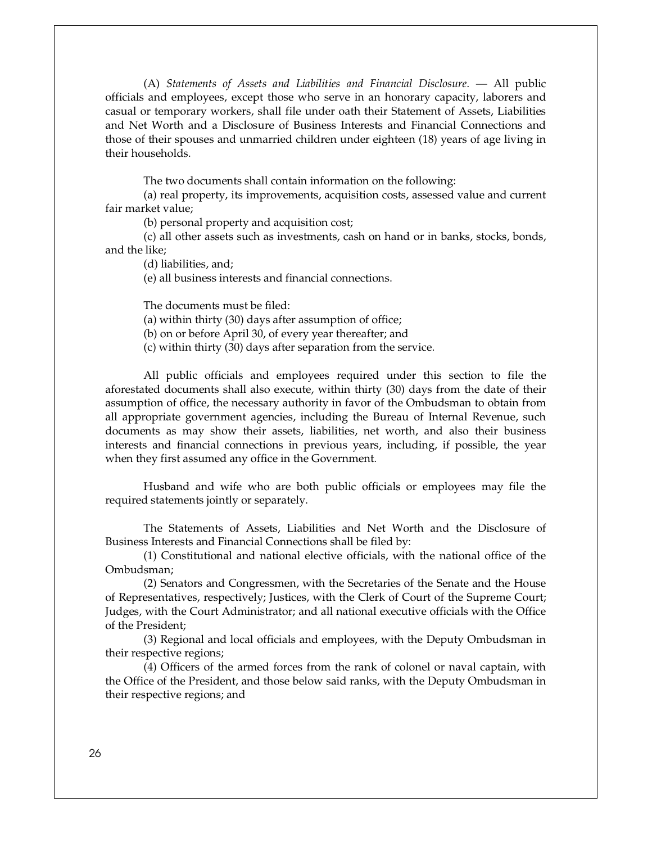(A) *Statements of Assets and Liabilities and Financial Disclosure*. — All public officials and employees, except those who serve in an honorary capacity, laborers and casual or temporary workers, shall file under oath their Statement of Assets, Liabilities and Net Worth and a Disclosure of Business Interests and Financial Connections and those of their spouses and unmarried children under eighteen (18) years of age living in their households.

The two documents shall contain information on the following:

 (a) real property, its improvements, acquisition costs, assessed value and current fair market value;

(b) personal property and acquisition cost;

 (c) all other assets such as investments, cash on hand or in banks, stocks, bonds, and the like;

(d) liabilities, and;

(e) all business interests and financial connections.

The documents must be filed:

(a) within thirty (30) days after assumption of office;

(b) on or before April 30, of every year thereafter; and

(c) within thirty (30) days after separation from the service.

 All public officials and employees required under this section to file the aforestated documents shall also execute, within thirty (30) days from the date of their assumption of office, the necessary authority in favor of the Ombudsman to obtain from all appropriate government agencies, including the Bureau of Internal Revenue, such documents as may show their assets, liabilities, net worth, and also their business interests and financial connections in previous years, including, if possible, the year when they first assumed any office in the Government.

 Husband and wife who are both public officials or employees may file the required statements jointly or separately.

 The Statements of Assets, Liabilities and Net Worth and the Disclosure of Business Interests and Financial Connections shall be filed by:

 (1) Constitutional and national elective officials, with the national office of the Ombudsman;

 (2) Senators and Congressmen, with the Secretaries of the Senate and the House of Representatives, respectively; Justices, with the Clerk of Court of the Supreme Court; Judges, with the Court Administrator; and all national executive officials with the Office of the President;

 (3) Regional and local officials and employees, with the Deputy Ombudsman in their respective regions;

 (4) Officers of the armed forces from the rank of colonel or naval captain, with the Office of the President, and those below said ranks, with the Deputy Ombudsman in their respective regions; and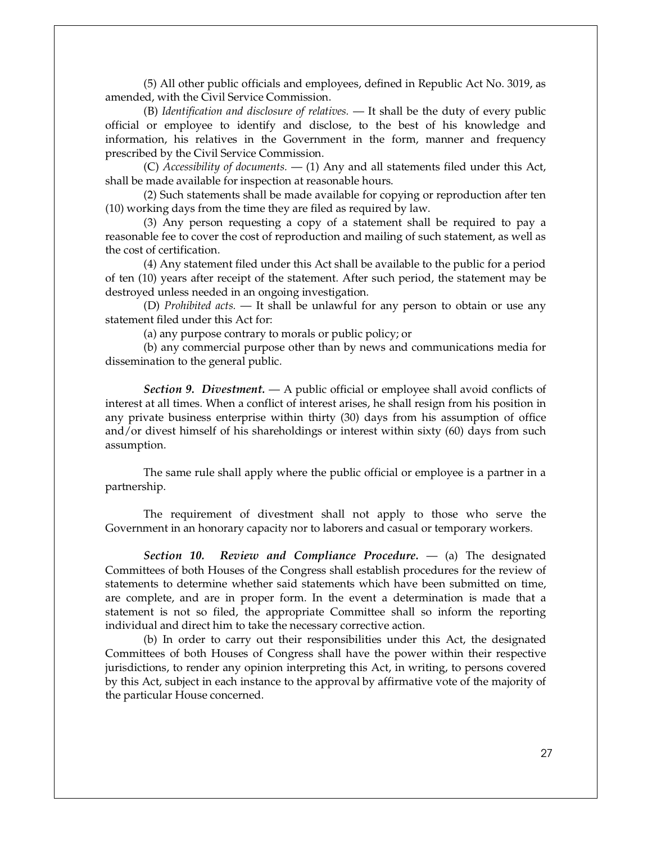(5) All other public officials and employees, defined in Republic Act No. 3019, as amended, with the Civil Service Commission.

 (B) *Identification and disclosure of relatives.* — It shall be the duty of every public official or employee to identify and disclose, to the best of his knowledge and information, his relatives in the Government in the form, manner and frequency prescribed by the Civil Service Commission.

 (C) *Accessibility of documents.* — (1) Any and all statements filed under this Act, shall be made available for inspection at reasonable hours.

 (2) Such statements shall be made available for copying or reproduction after ten (10) working days from the time they are filed as required by law.

 (3) Any person requesting a copy of a statement shall be required to pay a reasonable fee to cover the cost of reproduction and mailing of such statement, as well as the cost of certification.

 (4) Any statement filed under this Act shall be available to the public for a period of ten (10) years after receipt of the statement. After such period, the statement may be destroyed unless needed in an ongoing investigation.

 (D) *Prohibited acts.* — It shall be unlawful for any person to obtain or use any statement filed under this Act for:

(a) any purpose contrary to morals or public policy; or

 (b) any commercial purpose other than by news and communications media for dissemination to the general public.

*Section 9. Divestment.* — A public official or employee shall avoid conflicts of interest at all times. When a conflict of interest arises, he shall resign from his position in any private business enterprise within thirty (30) days from his assumption of office and/or divest himself of his shareholdings or interest within sixty (60) days from such assumption.

 The same rule shall apply where the public official or employee is a partner in a partnership.

 The requirement of divestment shall not apply to those who serve the Government in an honorary capacity nor to laborers and casual or temporary workers.

*Section 10. Review and Compliance Procedure.* — (a) The designated Committees of both Houses of the Congress shall establish procedures for the review of statements to determine whether said statements which have been submitted on time, are complete, and are in proper form. In the event a determination is made that a statement is not so filed, the appropriate Committee shall so inform the reporting individual and direct him to take the necessary corrective action.

 (b) In order to carry out their responsibilities under this Act, the designated Committees of both Houses of Congress shall have the power within their respective jurisdictions, to render any opinion interpreting this Act, in writing, to persons covered by this Act, subject in each instance to the approval by affirmative vote of the majority of the particular House concerned.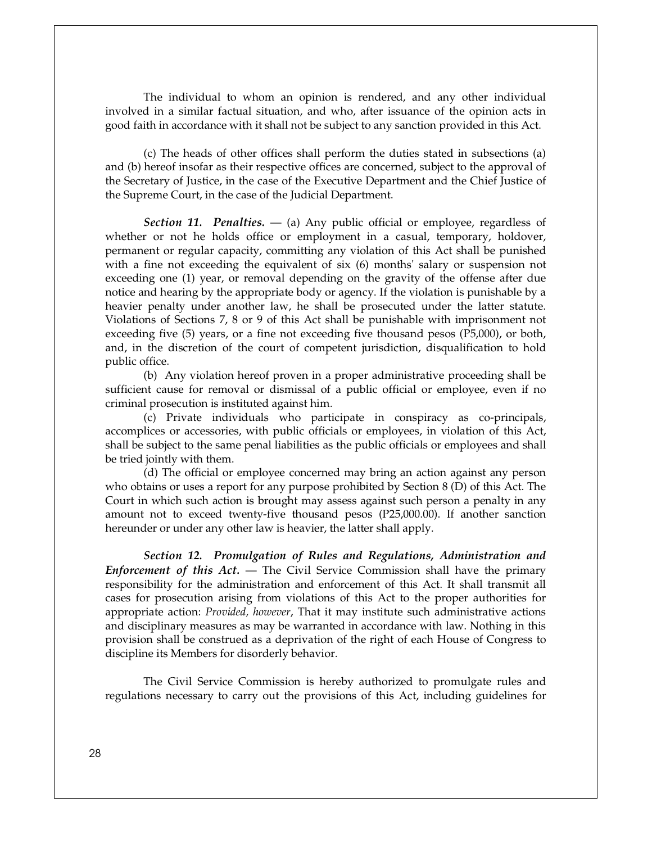The individual to whom an opinion is rendered, and any other individual involved in a similar factual situation, and who, after issuance of the opinion acts in good faith in accordance with it shall not be subject to any sanction provided in this Act.

 (c) The heads of other offices shall perform the duties stated in subsections (a) and (b) hereof insofar as their respective offices are concerned, subject to the approval of the Secretary of Justice, in the case of the Executive Department and the Chief Justice of the Supreme Court, in the case of the Judicial Department.

*Section 11. Penalties.* — (a) Any public official or employee, regardless of whether or not he holds office or employment in a casual, temporary, holdover, permanent or regular capacity, committing any violation of this Act shall be punished with a fine not exceeding the equivalent of six (6) months' salary or suspension not exceeding one (1) year, or removal depending on the gravity of the offense after due notice and hearing by the appropriate body or agency. If the violation is punishable by a heavier penalty under another law, he shall be prosecuted under the latter statute. Violations of Sections 7, 8 or 9 of this Act shall be punishable with imprisonment not exceeding five (5) years, or a fine not exceeding five thousand pesos (P5,000), or both, and, in the discretion of the court of competent jurisdiction, disqualification to hold public office.

 (b) Any violation hereof proven in a proper administrative proceeding shall be sufficient cause for removal or dismissal of a public official or employee, even if no criminal prosecution is instituted against him.

 (c) Private individuals who participate in conspiracy as co-principals, accomplices or accessories, with public officials or employees, in violation of this Act, shall be subject to the same penal liabilities as the public officials or employees and shall be tried jointly with them.

 (d) The official or employee concerned may bring an action against any person who obtains or uses a report for any purpose prohibited by Section 8 (D) of this Act. The Court in which such action is brought may assess against such person a penalty in any amount not to exceed twenty-five thousand pesos (P25,000.00). If another sanction hereunder or under any other law is heavier, the latter shall apply.

*Section 12. Promulgation of Rules and Regulations, Administration and Enforcement of this Act.* — The Civil Service Commission shall have the primary responsibility for the administration and enforcement of this Act. It shall transmit all cases for prosecution arising from violations of this Act to the proper authorities for appropriate action: *Provided, however*, That it may institute such administrative actions and disciplinary measures as may be warranted in accordance with law. Nothing in this provision shall be construed as a deprivation of the right of each House of Congress to discipline its Members for disorderly behavior.

 The Civil Service Commission is hereby authorized to promulgate rules and regulations necessary to carry out the provisions of this Act, including guidelines for